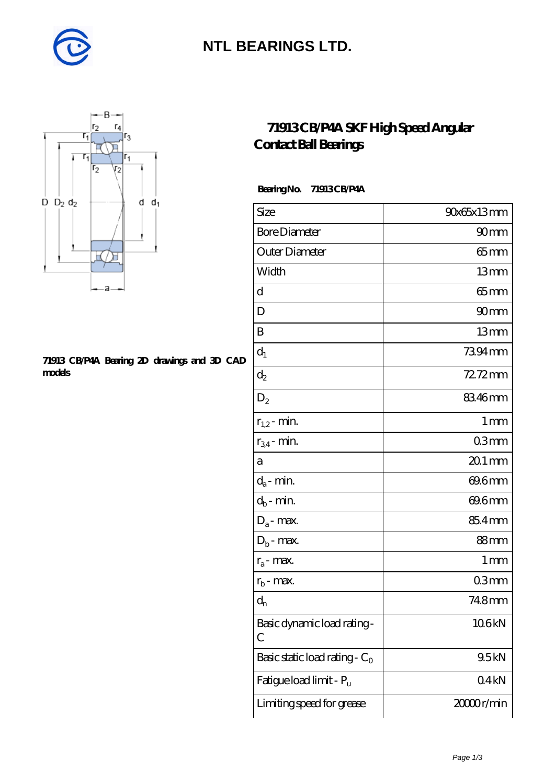

## **[NTL BEARINGS LTD.](https://m.diabetesfriends.net)**



#### **[71913 CB/P4A Bearing 2D drawings and 3D CAD](https://m.diabetesfriends.net/pic-590703.html) [models](https://m.diabetesfriends.net/pic-590703.html)**

### **[71913 CB/P4A SKF High Speed Angular](https://m.diabetesfriends.net/skf-bearing/71913-cb-p4a.html) [Contact Ball Bearings](https://m.diabetesfriends.net/skf-bearing/71913-cb-p4a.html)**

 **Bearing No. 71913 CB/P4A**

| Size                             | 90x65x13mm       |
|----------------------------------|------------------|
| <b>Bore Diameter</b>             | 90 <sub>mm</sub> |
| Outer Diameter                   | 65mm             |
| Width                            | 13mm             |
| d                                | $65$ mm          |
| D                                | 90 <sub>mm</sub> |
| B                                | 13mm             |
| $d_1$                            | 7394mm           |
| $d_2$                            | $72.72$ mm       |
| $D_2$                            | 83.46mm          |
| $r_{1,2}$ - min.                 | 1 <sub>mm</sub>  |
| $r_{34}$ - min.                  | 03 <sub>mm</sub> |
| a                                | $201$ mm         |
| $d_a$ - min.                     | 69.6mm           |
| $d_b$ - min.                     | 69.6mm           |
| $D_a$ - max.                     | 85.4mm           |
| $D_b$ - max.                     | $88 \text{mm}$   |
| $r_a$ - max.                     | 1 mm             |
| $r_{\rm b}$ - max.               | 03mm             |
| $d_{n}$                          | 74.8mm           |
| Basic dynamic load rating-<br>С  | 106kN            |
| Basic static load rating - $C_0$ | 9.5kN            |
| Fatigue load limit - Pu          | 04kN             |
| Limiting speed for grease        | 2000r/min        |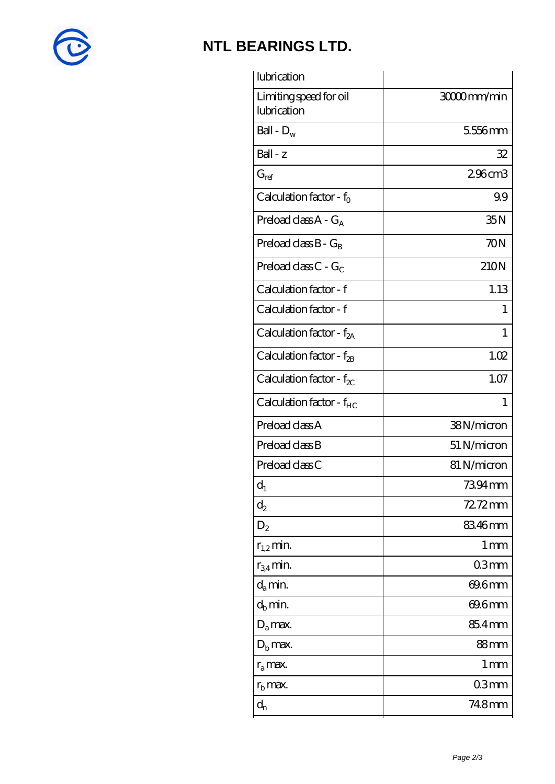

## **[NTL BEARINGS LTD.](https://m.diabetesfriends.net)**

| lubrication                           |                    |
|---------------------------------------|--------------------|
| Limiting speed for oil<br>lubrication | 3000mm/min         |
| Ball - $D_w$                          | 556mm              |
| Ball - z                              | 32                 |
| $G_{ref}$                             | 296cm3             |
| Calculation factor - $f_0$            | 99                 |
| Preload class $A - G_A$               | 35N                |
| Preload class $B - G_B$               | 70N                |
| Preload class $C - G_C$               | 210N               |
| Calculation factor - f                | 1.13               |
| Calculation factor - f                | 1                  |
| Calculation factor - $f_{2A}$         | 1                  |
| Calculation factor - $f_{\rm 2B}$     | 1.02               |
| Calculation factor - $f_{\chi}$       | 1.07               |
| Calculation factor - $f_{HC}$         | $\mathbf{1}$       |
| Preload class A                       | 38N/micron         |
| Preload class B                       | 51 N/micron        |
| Preload class C                       | 81 N/micron        |
| $d_1$                                 | 7394mm             |
| $d_2$                                 | 72.72mm            |
| $D_2$                                 | 8346mm             |
| $r_{1,2}$ min.                        | $1 \, \mathrm{mm}$ |
| $r_{34}$ min.                         | 03mm               |
| $d_a$ min.                            | 69.6mm             |
| $d_b$ min.                            | 69.6mm             |
| $D_a$ max.                            | 85.4mm             |
| $D_{b}$ max.                          | 88 <sub>mm</sub>   |
| $r_a$ max.                            | 1 mm               |
| $r_{\rm b}$ max.                      | 03mm               |
| $\mathrm{d}_{\mathrm{n}}$             | 748mm              |